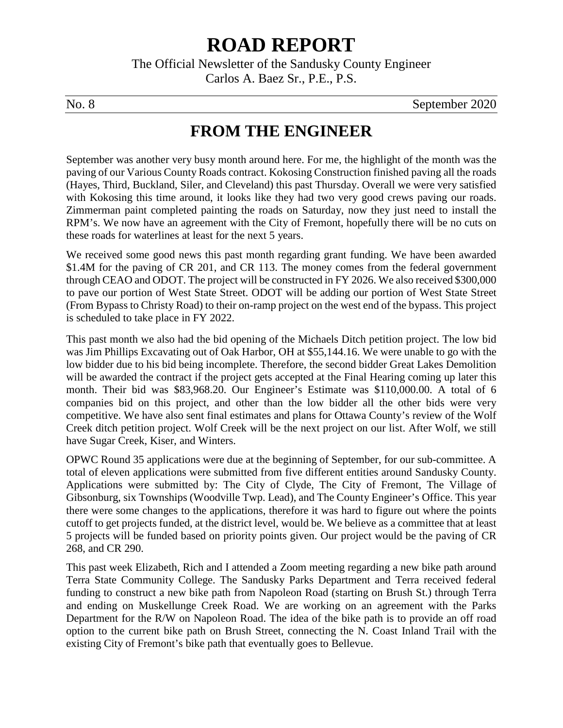# **ROAD REPORT**

The Official Newsletter of the Sandusky County Engineer Carlos A. Baez Sr., P.E., P.S.

No. 8 September 2020

#### **FROM THE ENGINEER**

September was another very busy month around here. For me, the highlight of the month was the paving of our Various County Roads contract. Kokosing Construction finished paving all the roads (Hayes, Third, Buckland, Siler, and Cleveland) this past Thursday. Overall we were very satisfied with Kokosing this time around, it looks like they had two very good crews paving our roads. Zimmerman paint completed painting the roads on Saturday, now they just need to install the RPM's. We now have an agreement with the City of Fremont, hopefully there will be no cuts on these roads for waterlines at least for the next 5 years.

We received some good news this past month regarding grant funding. We have been awarded \$1.4M for the paving of CR 201, and CR 113. The money comes from the federal government through CEAO and ODOT. The project will be constructed in FY 2026. We also received \$300,000 to pave our portion of West State Street. ODOT will be adding our portion of West State Street (From Bypass to Christy Road) to their on-ramp project on the west end of the bypass. This project is scheduled to take place in FY 2022.

This past month we also had the bid opening of the Michaels Ditch petition project. The low bid was Jim Phillips Excavating out of Oak Harbor, OH at \$55,144.16. We were unable to go with the low bidder due to his bid being incomplete. Therefore, the second bidder Great Lakes Demolition will be awarded the contract if the project gets accepted at the Final Hearing coming up later this month. Their bid was \$83,968.20. Our Engineer's Estimate was \$110,000.00. A total of 6 companies bid on this project, and other than the low bidder all the other bids were very competitive. We have also sent final estimates and plans for Ottawa County's review of the Wolf Creek ditch petition project. Wolf Creek will be the next project on our list. After Wolf, we still have Sugar Creek, Kiser, and Winters.

OPWC Round 35 applications were due at the beginning of September, for our sub-committee. A total of eleven applications were submitted from five different entities around Sandusky County. Applications were submitted by: The City of Clyde, The City of Fremont, The Village of Gibsonburg, six Townships (Woodville Twp. Lead), and The County Engineer's Office. This year there were some changes to the applications, therefore it was hard to figure out where the points cutoff to get projects funded, at the district level, would be. We believe as a committee that at least 5 projects will be funded based on priority points given. Our project would be the paving of CR 268, and CR 290.

This past week Elizabeth, Rich and I attended a Zoom meeting regarding a new bike path around Terra State Community College. The Sandusky Parks Department and Terra received federal funding to construct a new bike path from Napoleon Road (starting on Brush St.) through Terra and ending on Muskellunge Creek Road. We are working on an agreement with the Parks Department for the R/W on Napoleon Road. The idea of the bike path is to provide an off road option to the current bike path on Brush Street, connecting the N. Coast Inland Trail with the existing City of Fremont's bike path that eventually goes to Bellevue.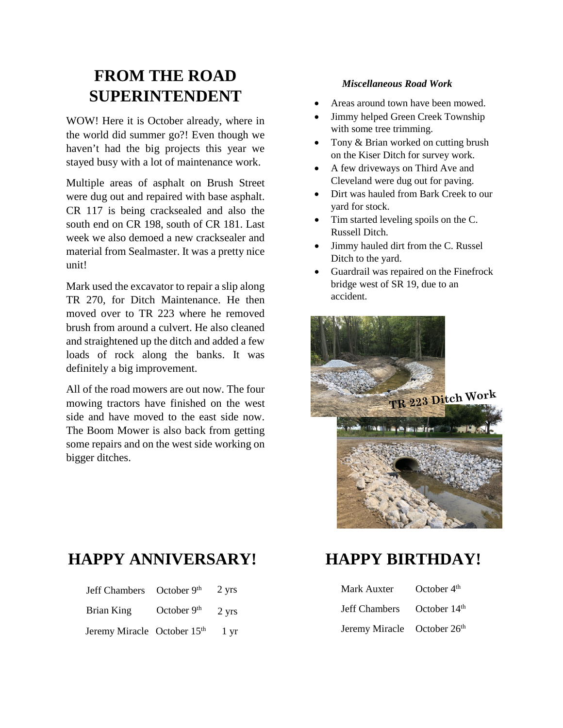### **FROM THE ROAD SUPERINTENDENT**

WOW! Here it is October already, where in the world did summer go?! Even though we haven't had the big projects this year we stayed busy with a lot of maintenance work.

Multiple areas of asphalt on Brush Street were dug out and repaired with base asphalt. CR 117 is being cracksealed and also the south end on CR 198, south of CR 181. Last week we also demoed a new cracksealer and material from Sealmaster. It was a pretty nice unit!

Mark used the excavator to repair a slip along TR 270, for Ditch Maintenance. He then moved over to TR 223 where he removed brush from around a culvert. He also cleaned and straightened up the ditch and added a few loads of rock along the banks. It was definitely a big improvement.

All of the road mowers are out now. The four mowing tractors have finished on the west side and have moved to the east side now. The Boom Mower is also back from getting some repairs and on the west side working on bigger ditches.

#### *Miscellaneous Road Work*

- Areas around town have been mowed.
- Jimmy helped Green Creek Township with some tree trimming.
- Tony & Brian worked on cutting brush on the Kiser Ditch for survey work.
- A few driveways on Third Ave and Cleveland were dug out for paving.
- Dirt was hauled from Bark Creek to our yard for stock.
- Tim started leveling spoils on the C. Russell Ditch.
- Jimmy hauled dirt from the C. Russel Ditch to the yard.
- Guardrail was repaired on the Finefrock bridge west of SR 19, due to an accident.



#### **HAPPY ANNIVERSARY!**

| Jeff Chambers October 9th   |                         | 2 yrs           |
|-----------------------------|-------------------------|-----------------|
| Brian King                  | October 9 <sup>th</sup> | 2 yrs           |
| Jeremy Miracle October 15th |                         | $1 \mathrm{yr}$ |

## **HAPPY BIRTHDAY!**

| Mark Auxter                 | October $4th$  |
|-----------------------------|----------------|
| Jeff Chambers               | October $14th$ |
| Jeremy Miracle October 26th |                |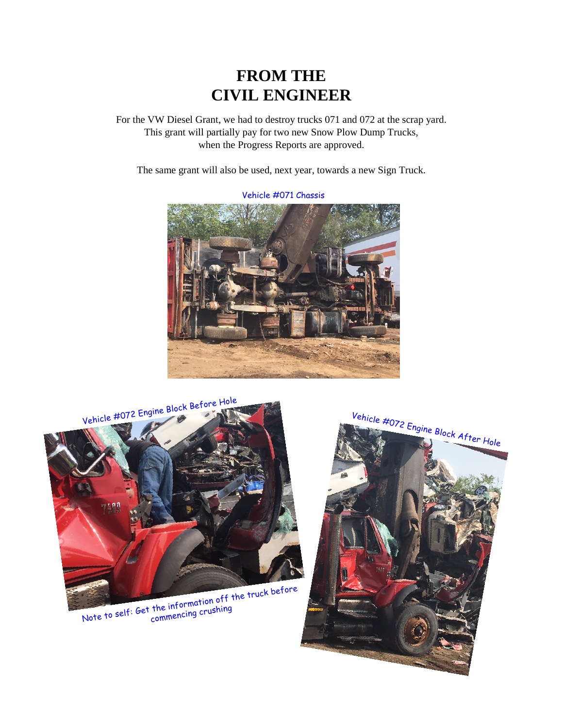#### **FROM THE CIVIL ENGINEER**

For the VW Diesel Grant, we had to destroy trucks 071 and 072 at the scrap yard. This grant will partially pay for two new Snow Plow Dump Trucks, when the Progress Reports are approved.

The same grant will also be used, next year, towards a new Sign Truck.



Vehicle #072 Engine Block Before Hole

Note to self: Get the information off the truck before